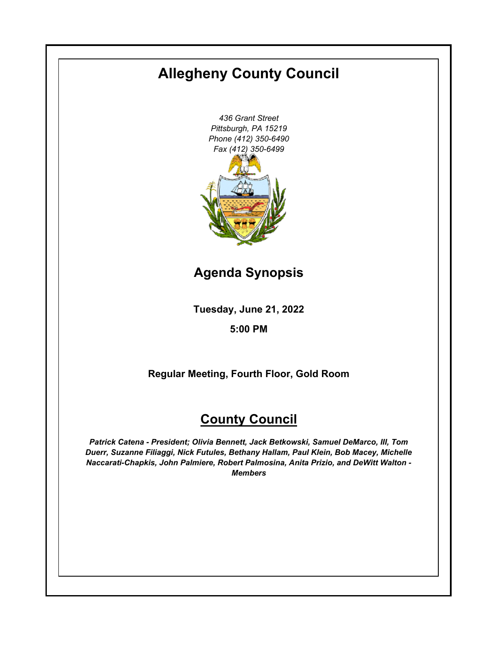# **Allegheny County Council**

*436 Grant Street Pittsburgh, PA 15219 Phone (412) 350-6490 Fax (412) 350-6499*

**Agenda Synopsis**

**Tuesday, June 21, 2022**

**5:00 PM**

**Regular Meeting, Fourth Floor, Gold Room**

# **County Council**

*Patrick Catena - President; Olivia Bennett, Jack Betkowski, Samuel DeMarco, III, Tom Duerr, Suzanne Filiaggi, Nick Futules, Bethany Hallam, Paul Klein, Bob Macey, Michelle Naccarati-Chapkis, John Palmiere, Robert Palmosina, Anita Prizio, and DeWitt Walton - Members*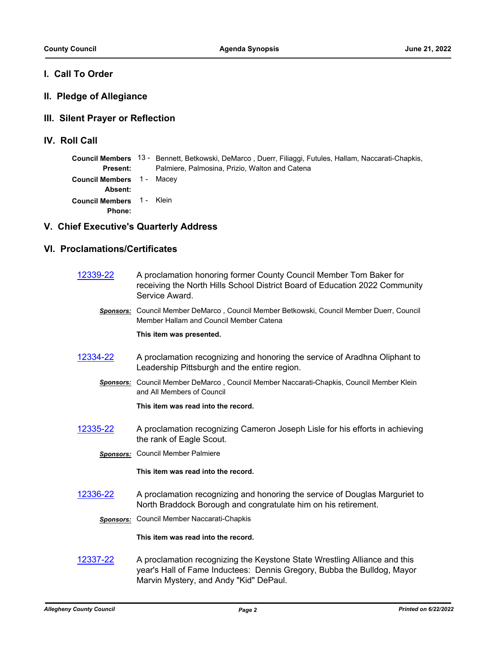### **I. Call To Order**

#### **II. Pledge of Allegiance**

#### **III. Silent Prayer or Reflection**

**IV. Roll Call**

|                                                   | Council Members 13 - Bennett, Betkowski, DeMarco, Duerr, Filiaggi, Futules, Hallam, Naccarati-Chapkis, |
|---------------------------------------------------|--------------------------------------------------------------------------------------------------------|
| Present:                                          | Palmiere, Palmosina, Prizio, Walton and Catena                                                         |
| <b>Council Members 1 - Macey</b><br>Absent:       |                                                                                                        |
| <b>Council Members</b> 1 - Klein<br><b>Phone:</b> |                                                                                                        |

### **V. Chief Executive's Quarterly Address**

## **VI. Proclamations/Certificates**

| 12339-22 | A proclamation honoring former County Council Member Tom Baker for          |
|----------|-----------------------------------------------------------------------------|
|          | receiving the North Hills School District Board of Education 2022 Community |
|          | Service Award.                                                              |

*Sponsors:* Council Member DeMarco , Council Member Betkowski, Council Member Duerr, Council Member Hallam and Council Member Catena

#### **This item was presented.**

- [12334-22](http://allegheny.legistar.com/gateway.aspx?m=l&id=/matter.aspx?key=13399) A proclamation recognizing and honoring the service of Aradhna Oliphant to Leadership Pittsburgh and the entire region.
	- *Sponsors:* Council Member DeMarco , Council Member Naccarati-Chapkis, Council Member Klein and All Members of Council

**This item was read into the record.**

- [12335-22](http://allegheny.legistar.com/gateway.aspx?m=l&id=/matter.aspx?key=13400) A proclamation recognizing Cameron Joseph Lisle for his efforts in achieving the rank of Eagle Scout.
	- *Sponsors:* Council Member Palmiere

**This item was read into the record.**

[12336-22](http://allegheny.legistar.com/gateway.aspx?m=l&id=/matter.aspx?key=13401) A proclamation recognizing and honoring the service of Douglas Marguriet to North Braddock Borough and congratulate him on his retirement.

*Sponsors:* Council Member Naccarati-Chapkis

**This item was read into the record.**

[12337-22](http://allegheny.legistar.com/gateway.aspx?m=l&id=/matter.aspx?key=13402) A proclamation recognizing the Keystone State Wrestling Alliance and this year's Hall of Fame Inductees: Dennis Gregory, Bubba the Bulldog, Mayor Marvin Mystery, and Andy "Kid" DePaul.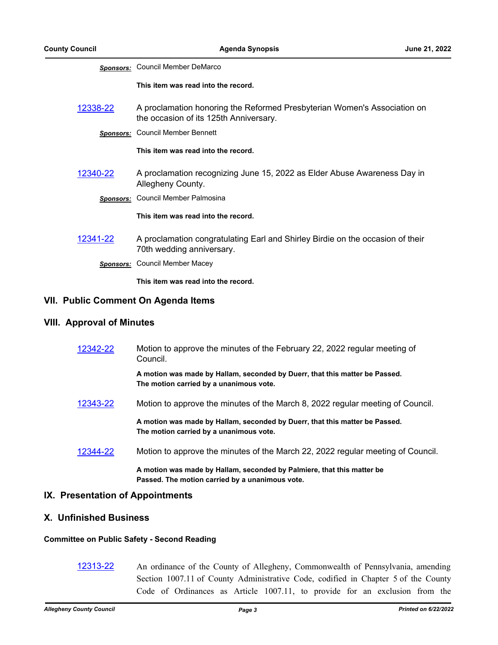|                                            | <b>Sponsors:</b> Council Member DeMarco                                                                            |
|--------------------------------------------|--------------------------------------------------------------------------------------------------------------------|
|                                            | This item was read into the record.                                                                                |
| 12338-22                                   | A proclamation honoring the Reformed Presbyterian Women's Association on<br>the occasion of its 125th Anniversary. |
|                                            | <b>Sponsors:</b> Council Member Bennett                                                                            |
|                                            | This item was read into the record.                                                                                |
| 12340-22                                   | A proclamation recognizing June 15, 2022 as Elder Abuse Awareness Day in<br>Allegheny County.                      |
|                                            | Sponsors: Council Member Palmosina                                                                                 |
|                                            | This item was read into the record.                                                                                |
| 12341-22                                   | A proclamation congratulating Earl and Shirley Birdie on the occasion of their<br>70th wedding anniversary.        |
|                                            | <b>Sponsors:</b> Council Member Macey                                                                              |
|                                            | This item was read into the record.                                                                                |
| <b>VII. Public Comment On Agenda Items</b> |                                                                                                                    |

### **VIII. Approval of Minutes**

| 12342-22 | Motion to approve the minutes of the February 22, 2022 regular meeting of<br>Council.                                     |  |  |  |
|----------|---------------------------------------------------------------------------------------------------------------------------|--|--|--|
|          | A motion was made by Hallam, seconded by Duerr, that this matter be Passed.<br>The motion carried by a unanimous vote.    |  |  |  |
| 12343-22 | Motion to approve the minutes of the March 8, 2022 regular meeting of Council.                                            |  |  |  |
|          | A motion was made by Hallam, seconded by Duerr, that this matter be Passed.<br>The motion carried by a unanimous vote.    |  |  |  |
| 12344-22 | Motion to approve the minutes of the March 22, 2022 regular meeting of Council.                                           |  |  |  |
|          | A motion was made by Hallam, seconded by Palmiere, that this matter be<br>Passed. The motion carried by a unanimous vote. |  |  |  |

#### **IX. Presentation of Appointments**

## **X. Unfinished Business**

#### **Committee on Public Safety - Second Reading**

[12313-22](http://allegheny.legistar.com/gateway.aspx?m=l&id=/matter.aspx?key=13378) An ordinance of the County of Allegheny, Commonwealth of Pennsylvania, amending Section 1007.11 of County Administrative Code, codified in Chapter 5 of the County Code of Ordinances as Article 1007.11, to provide for an exclusion from the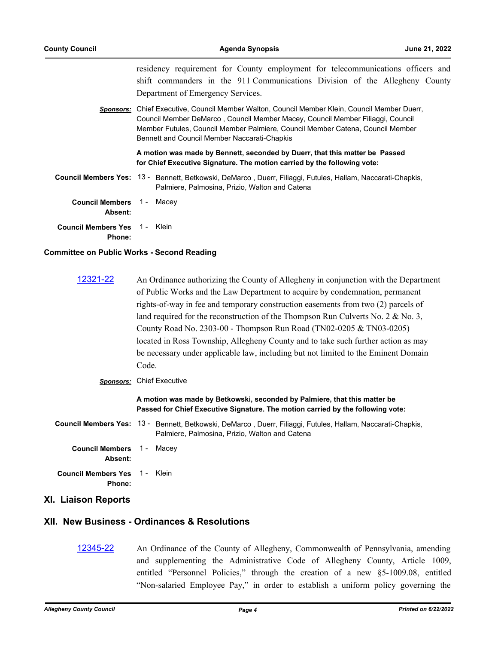residency requirement for County employment for telecommunications officers and shift commanders in the 911 Communications Division of the Allegheny County Department of Emergency Services.

*Sponsors:* Chief Executive, Council Member Walton, Council Member Klein, Council Member Duerr, Council Member DeMarco , Council Member Macey, Council Member Filiaggi, Council Member Futules, Council Member Palmiere, Council Member Catena, Council Member Bennett and Council Member Naccarati-Chapkis

> **A motion was made by Bennett, seconded by Duerr, that this matter be Passed for Chief Executive Signature. The motion carried by the following vote:**

Council Members Yes: 13 - Bennett, Betkowski, DeMarco, Duerr, Filiaggi, Futules, Hallam, Naccarati-Chapkis, Palmiere, Palmosina, Prizio, Walton and Catena

| <b>Council Members</b> 1 - Macey<br><b>Absent:</b> |  |  |
|----------------------------------------------------|--|--|
| <b>Council Members Yes</b> 1 -  Klein<br>Phone:    |  |  |

#### **Committee on Public Works - Second Reading**

- [12321-22](http://allegheny.legistar.com/gateway.aspx?m=l&id=/matter.aspx?key=13386) An Ordinance authorizing the County of Allegheny in conjunction with the Department of Public Works and the Law Department to acquire by condemnation, permanent rights-of-way in fee and temporary construction easements from two (2) parcels of land required for the reconstruction of the Thompson Run Culverts No. 2 & No. 3, County Road No. 2303-00 - Thompson Run Road (TN02-0205 & TN03-0205) located in Ross Township, Allegheny County and to take such further action as may be necessary under applicable law, including but not limited to the Eminent Domain Code.
	- *Sponsors:* Chief Executive

**A motion was made by Betkowski, seconded by Palmiere, that this matter be Passed for Chief Executive Signature. The motion carried by the following vote:**

Council Members Yes: 13 - Bennett, Betkowski, DeMarco, Duerr, Filiaggi, Futules, Hallam, Naccarati-Chapkis, Palmiere, Palmosina, Prizio, Walton and Catena

**Council Members Absent:** 1 - Macey

**Council Members Yes Phone:** 1 - Klein

**XI. Liaison Reports**

### **XII. New Business - Ordinances & Resolutions**

[12345-22](http://allegheny.legistar.com/gateway.aspx?m=l&id=/matter.aspx?key=13410) An Ordinance of the County of Allegheny, Commonwealth of Pennsylvania, amending and supplementing the Administrative Code of Allegheny County, Article 1009, entitled "Personnel Policies," through the creation of a new §5-1009.08, entitled "Non-salaried Employee Pay," in order to establish a uniform policy governing the